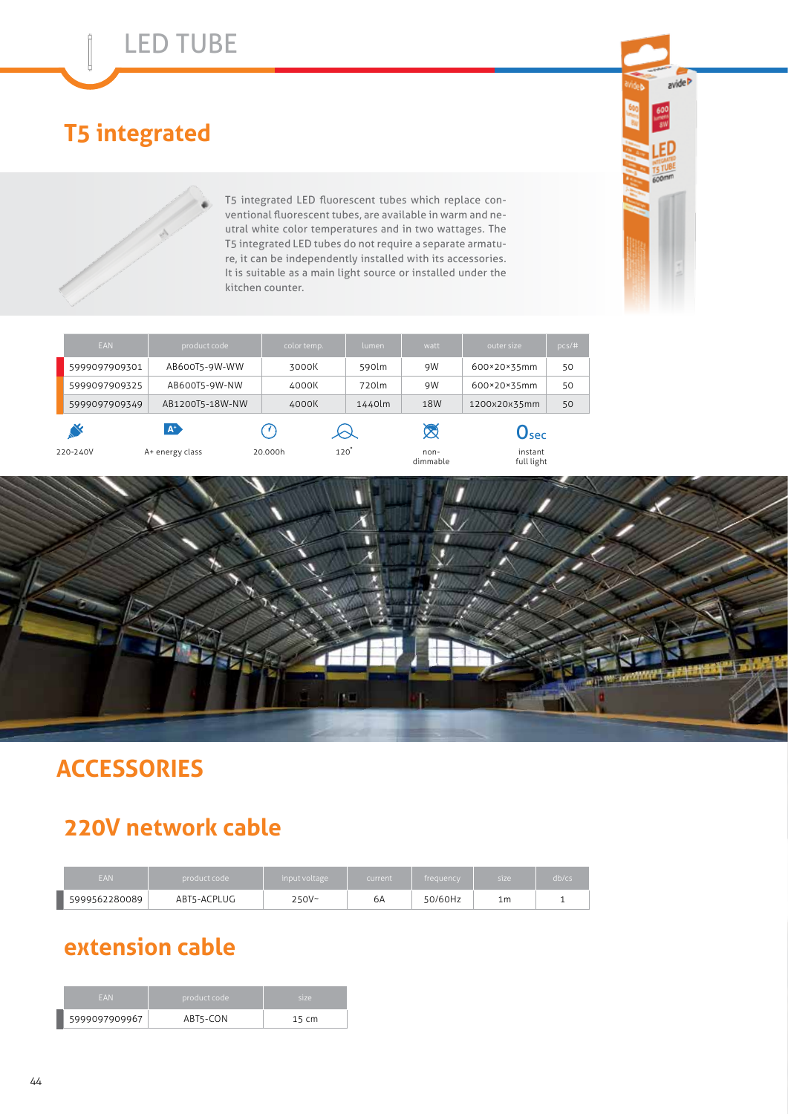## **T5 integrated**

 $\mathring{\parallel}$ 

T5 integrated LED fluorescent tubes which replace conventional fluorescent tubes, are available in warm and neutral white color temperatures and in two wattages. The T5 integrated LED tubes do not require a separate armature, it can be independently installed with its accessories. It is suitable as a main light source or installed under the kitchen counter.



avide >

ED

| EAN           | product code    | color temp. | <b>lumen</b> | watt             | outer size                  | pcs/# |
|---------------|-----------------|-------------|--------------|------------------|-----------------------------|-------|
| 5999097909301 | AB600T5-9W-WW   | 3000K       | 590lm        | 9W               | 600×20×35mm                 | 50    |
| 5999097909325 | AB600T5-9W-NW   | 4000K       | 720lm        | 9W               | 600×20×35mm                 | 50    |
| 5999097909349 | AB1200T5-18W-NW | 4000K       | 1440lm       | 18W              | 1200x20x35mm                | 50    |
| $A^*$         |                 |             |              | 对                | $\mathbf{O}_{\mathbf{sec}}$ |       |
| 220-240V      | A+ energy class | 20.000h     | 120          | non-<br>dimmable | instant<br>full light       |       |



## **ACCESSORIES**

## **220V network cable**

| EAN           | product code | input voltage | current | frequency | size | db/cs |  |
|---------------|--------------|---------------|---------|-----------|------|-------|--|
| 5999562280089 | ABT5-ACPLUG  | $250V -$      | 6A      | 50/60Hz   | 1m   |       |  |

#### **extension cable**

| <b>FAN</b>    | product code ' | size  |  |  |
|---------------|----------------|-------|--|--|
| 5999097909967 | ABT5-CON       | 15 cm |  |  |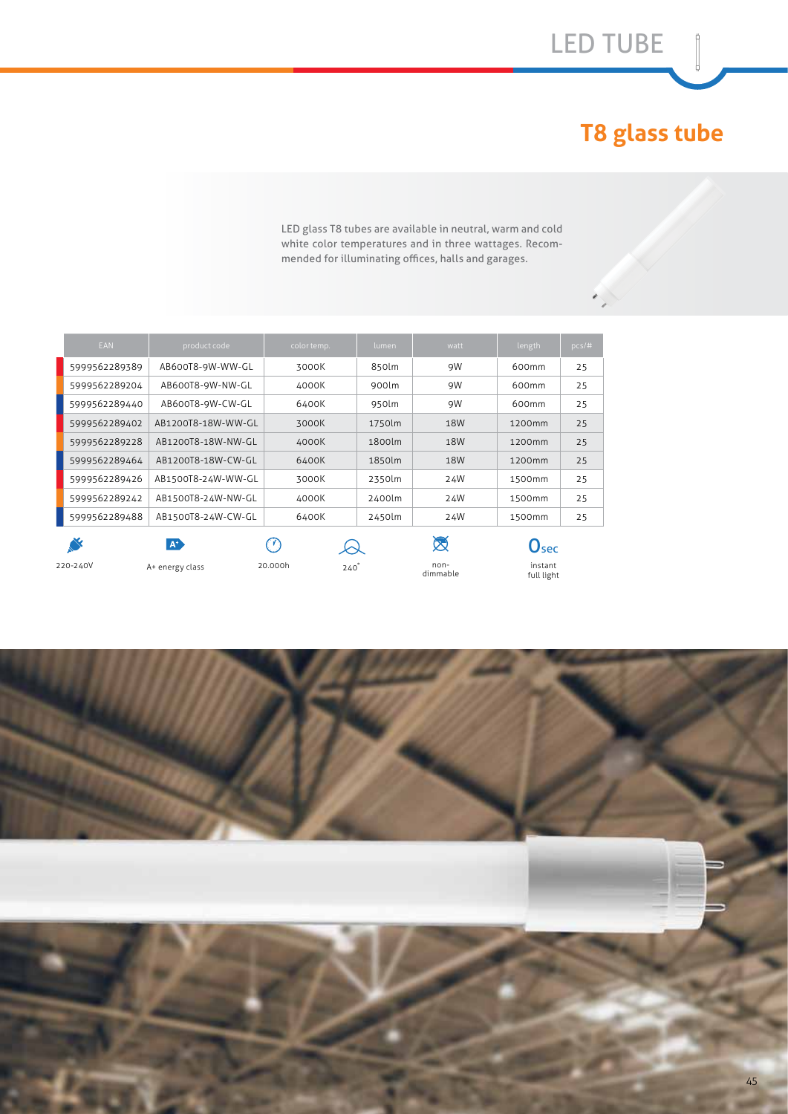# **T8 glass tube**

LED glass T8 tubes are available in neutral, warm and cold white color temperatures and in three wattages. Recommended for illuminating offices, halls and garages.

| EAN           | product code       | color temp.            | lumen  | watt             | length                      | $pcs/\#$ |
|---------------|--------------------|------------------------|--------|------------------|-----------------------------|----------|
| 5999562289389 | AB600T8-9W-WW-GL   | 3000K                  | 850lm  | 9W               | 600mm                       | 25       |
| 5999562289204 | AB600T8-9W-NW-GL   | 4000K                  | 900lm  | 9W               | 600mm                       | 25       |
| 5999562289440 | AB600T8-9W-CW-GL   | 6400K                  | 950lm  | 9W               | 600mm                       | 25       |
| 5999562289402 | AB1200T8-18W-WW-GL | 3000K                  | 1750lm | 18W              | 1200mm                      | 25       |
| 5999562289228 | AB1200T8-18W-NW-GL | 4000K                  | 1800lm | 18W              | 1200mm                      | 25       |
| 5999562289464 | AB1200T8-18W-CW-GL | 6400K                  | 1850lm | 18W              | 1200mm                      | 25       |
| 5999562289426 | AB1500T8-24W-WW-GL | 3000K                  | 2350lm | 24W              | 1500mm                      | 25       |
| 5999562289242 | AB1500T8-24W-NW-GL | 4000K                  | 2400lm | 24W              | 1500mm                      | 25       |
| 5999562289488 | AB1500T8-24W-CW-GL | 6400K                  | 2450lm | 24W              | 1500mm                      | 25       |
|               | $A^+$              | $\rightsquigarrow$     |        | Ø                | $\mathbf{O}_{\mathbf{sec}}$ |          |
| 220-240V      | A+ energy class    | 20.000h<br>$240^\circ$ |        | non-<br>dimmable | instant<br>full light       |          |